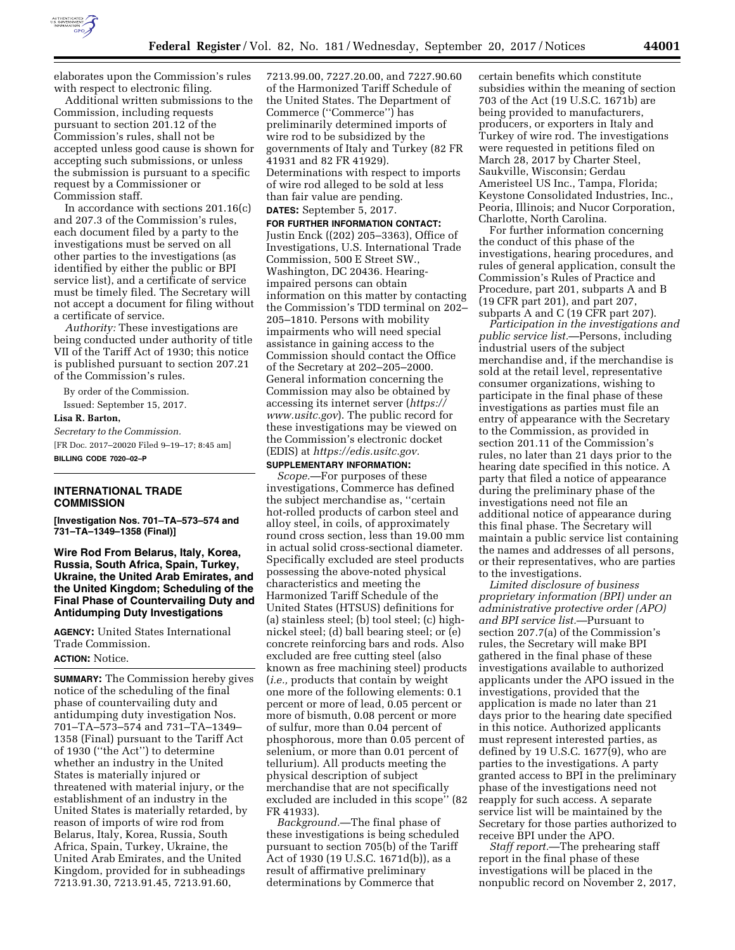

elaborates upon the Commission's rules with respect to electronic filing.

Additional written submissions to the Commission, including requests pursuant to section 201.12 of the Commission's rules, shall not be accepted unless good cause is shown for accepting such submissions, or unless the submission is pursuant to a specific request by a Commissioner or Commission staff.

In accordance with sections 201.16(c) and 207.3 of the Commission's rules, each document filed by a party to the investigations must be served on all other parties to the investigations (as identified by either the public or BPI service list), and a certificate of service must be timely filed. The Secretary will not accept a document for filing without a certificate of service.

*Authority:* These investigations are being conducted under authority of title VII of the Tariff Act of 1930; this notice is published pursuant to section 207.21 of the Commission's rules.

By order of the Commission. Issued: September 15, 2017.

**Lisa R. Barton,** 

# *Secretary to the Commission.*  [FR Doc. 2017–20020 Filed 9–19–17; 8:45 am] **BILLING CODE 7020–02–P**

## **INTERNATIONAL TRADE COMMISSION**

**[Investigation Nos. 701–TA–573–574 and 731–TA–1349–1358 (Final)]** 

## **Wire Rod From Belarus, Italy, Korea, Russia, South Africa, Spain, Turkey, Ukraine, the United Arab Emirates, and the United Kingdom; Scheduling of the Final Phase of Countervailing Duty and Antidumping Duty Investigations**

**AGENCY:** United States International Trade Commission. **ACTION:** Notice.

**SUMMARY:** The Commission hereby gives notice of the scheduling of the final phase of countervailing duty and antidumping duty investigation Nos. 701–TA–573–574 and 731–TA–1349– 1358 (Final) pursuant to the Tariff Act of 1930 (''the Act'') to determine whether an industry in the United States is materially injured or threatened with material injury, or the establishment of an industry in the United States is materially retarded, by reason of imports of wire rod from Belarus, Italy, Korea, Russia, South Africa, Spain, Turkey, Ukraine, the United Arab Emirates, and the United Kingdom, provided for in subheadings 7213.91.30, 7213.91.45, 7213.91.60,

7213.99.00, 7227.20.00, and 7227.90.60 of the Harmonized Tariff Schedule of the United States. The Department of Commerce (''Commerce'') has preliminarily determined imports of wire rod to be subsidized by the governments of Italy and Turkey (82 FR 41931 and 82 FR 41929). Determinations with respect to imports of wire rod alleged to be sold at less than fair value are pending.

## **DATES:** September 5, 2017.

**FOR FURTHER INFORMATION CONTACT:**  Justin Enck ((202) 205–3363), Office of Investigations, U.S. International Trade Commission, 500 E Street SW., Washington, DC 20436. Hearingimpaired persons can obtain information on this matter by contacting the Commission's TDD terminal on 202– 205–1810. Persons with mobility impairments who will need special assistance in gaining access to the Commission should contact the Office of the Secretary at 202–205–2000. General information concerning the Commission may also be obtained by accessing its internet server (*[https://](https://www.usitc.gov) [www.usitc.gov](https://www.usitc.gov)*). The public record for these investigations may be viewed on the Commission's electronic docket (EDIS) at *[https://edis.usitc.gov.](https://edis.usitc.gov)* 

### **SUPPLEMENTARY INFORMATION:**

*Scope.*—For purposes of these investigations, Commerce has defined the subject merchandise as, ''certain hot-rolled products of carbon steel and alloy steel, in coils, of approximately round cross section, less than 19.00 mm in actual solid cross-sectional diameter. Specifically excluded are steel products possessing the above-noted physical characteristics and meeting the Harmonized Tariff Schedule of the United States (HTSUS) definitions for (a) stainless steel; (b) tool steel; (c) highnickel steel; (d) ball bearing steel; or (e) concrete reinforcing bars and rods. Also excluded are free cutting steel (also known as free machining steel) products (*i.e.,* products that contain by weight one more of the following elements: 0.1 percent or more of lead, 0.05 percent or more of bismuth, 0.08 percent or more of sulfur, more than 0.04 percent of phosphorous, more than 0.05 percent of selenium, or more than 0.01 percent of tellurium). All products meeting the physical description of subject merchandise that are not specifically excluded are included in this scope'' (82 FR 41933).

*Background.*—The final phase of these investigations is being scheduled pursuant to section 705(b) of the Tariff Act of 1930 (19 U.S.C. 1671d(b)), as a result of affirmative preliminary determinations by Commerce that

certain benefits which constitute subsidies within the meaning of section 703 of the Act (19 U.S.C. 1671b) are being provided to manufacturers, producers, or exporters in Italy and Turkey of wire rod. The investigations were requested in petitions filed on March 28, 2017 by Charter Steel, Saukville, Wisconsin; Gerdau Ameristeel US Inc., Tampa, Florida; Keystone Consolidated Industries, Inc., Peoria, Illinois; and Nucor Corporation, Charlotte, North Carolina.

For further information concerning the conduct of this phase of the investigations, hearing procedures, and rules of general application, consult the Commission's Rules of Practice and Procedure, part 201, subparts A and B (19 CFR part 201), and part 207, subparts A and C (19 CFR part 207).

*Participation in the investigations and public service list.*—Persons, including industrial users of the subject merchandise and, if the merchandise is sold at the retail level, representative consumer organizations, wishing to participate in the final phase of these investigations as parties must file an entry of appearance with the Secretary to the Commission, as provided in section 201.11 of the Commission's rules, no later than 21 days prior to the hearing date specified in this notice. A party that filed a notice of appearance during the preliminary phase of the investigations need not file an additional notice of appearance during this final phase. The Secretary will maintain a public service list containing the names and addresses of all persons, or their representatives, who are parties to the investigations.

*Limited disclosure of business proprietary information (BPI) under an administrative protective order (APO) and BPI service list.*—Pursuant to section 207.7(a) of the Commission's rules, the Secretary will make BPI gathered in the final phase of these investigations available to authorized applicants under the APO issued in the investigations, provided that the application is made no later than 21 days prior to the hearing date specified in this notice. Authorized applicants must represent interested parties, as defined by 19 U.S.C. 1677(9), who are parties to the investigations. A party granted access to BPI in the preliminary phase of the investigations need not reapply for such access. A separate service list will be maintained by the Secretary for those parties authorized to receive BPI under the APO.

*Staff report.*—The prehearing staff report in the final phase of these investigations will be placed in the nonpublic record on November 2, 2017,